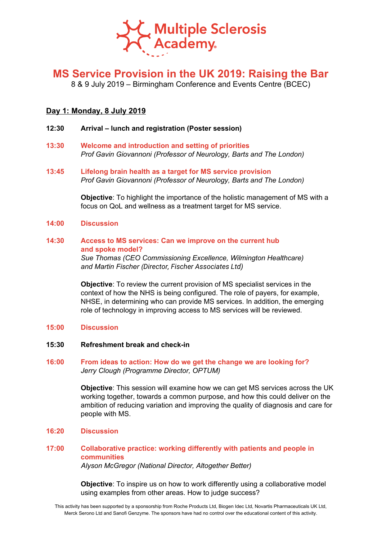

# **MS Service Provision in the UK 2019: Raising the Bar**

8 & 9 July 2019 – Birmingham Conference and Events Centre (BCEC)

## **Day 1: Monday, 8 July 2019**

- **12:30 Arrival – lunch and registration (Poster session)**
- **13:30 Welcome and introduction and setting of priorities** *Prof Gavin Giovannoni (Professor of Neurology, Barts and The London)*
- **13:45 Lifelong brain health as a target for MS service provision** *Prof Gavin Giovannoni (Professor of Neurology, Barts and The London)*

**Objective**: To highlight the importance of the holistic management of MS with a focus on QoL and wellness as a treatment target for MS service.

### **14:00 Discussion**

## **14:30 Access to MS services: Can we improve on the current hub and spoke model?**

*Sue Thomas (CEO Commissioning Excellence, Wilmington Healthcare) and Martin Fischer (Director, Fischer Associates Ltd)*

**Objective**: To review the current provision of MS specialist services in the context of how the NHS is being configured. The role of payers, for example, NHSE, in determining who can provide MS services. In addition, the emerging role of technology in improving access to MS services will be reviewed.

#### **15:00 Discussion**

### **15:30 Refreshment break and check-in**

## **16:00 From ideas to action: How do we get the change we are looking for?** *Jerry Clough (Programme Director, OPTUM)*

**Objective**: This session will examine how we can get MS services across the UK working together, towards a common purpose, and how this could deliver on the ambition of reducing variation and improving the quality of diagnosis and care for people with MS.

**16:20 Discussion**

# **17:00 Collaborative practice: working differently with patients and people in communities**

*Alyson McGregor (National Director, Altogether Better)*

**Objective**: To inspire us on how to work differently using a collaborative model using examples from other areas. How to judge success?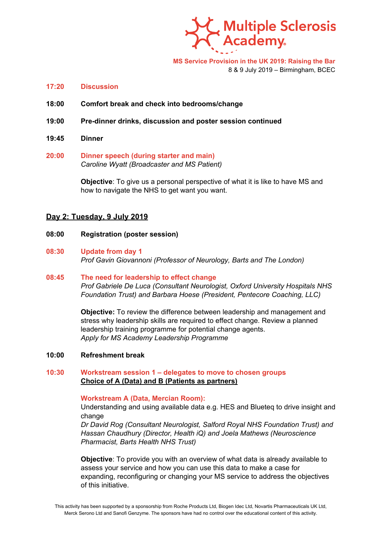

**MS Service Provision in the UK 2019: Raising the Bar**

8 & 9 July 2019 – Birmingham, BCEC

- **17:20 Discussion**
- **18:00 Comfort break and check into bedrooms/change**
- **19:00 Pre-dinner drinks, discussion and poster session continued**
- **19:45 Dinner**
- **20:00 Dinner speech (during starter and main)** *Caroline Wyatt (Broadcaster and MS Patient)*

**Objective**: To give us a personal perspective of what it is like to have MS and how to navigate the NHS to get want you want.

## **Day 2: Tuesday, 9 July 2019**

- **08:00 Registration (poster session)**
- **08:30 Update from day 1** *Prof Gavin Giovannoni (Professor of Neurology, Barts and The London)*

## **08:45 The need for leadership to effect change** *Prof Gabriele De Luca (Consultant Neurologist, Oxford University Hospitals NHS Foundation Trust) and Barbara Hoese (President, Pentecore Coaching, LLC)*

**Objective:** To review the difference between leadership and management and stress why leadership skills are required to effect change. Review a planned leadership training programme for potential change agents. *Apply for MS Academy Leadership Programme*

**10:00 Refreshment break**

## **10:30 Workstream session 1 – delegates to move to chosen groups Choice of A (Data) and B (Patients as partners)**

**Workstream A (Data, Mercian Room):**

Understanding and using available data e.g. HES and Blueteq to drive insight and change

*Dr David Rog (Consultant Neurologist, Salford Royal NHS Foundation Trust) and Hassan Chaudhury (Director, Health iQ) and Joela Mathews (Neuroscience Pharmacist, Barts Health NHS Trust)*

**Objective**: To provide you with an overview of what data is already available to assess your service and how you can use this data to make a case for expanding, reconfiguring or changing your MS service to address the objectives of this initiative.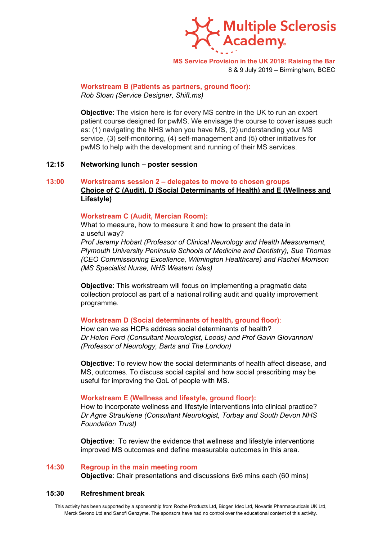

**MS Service Provision in the UK 2019: Raising the Bar** 8 & 9 July 2019 – Birmingham, BCEC

**Workstream B (Patients as partners, ground floor):** *Rob Sloan (Service Designer, Shift.ms)*

**Objective**: The vision here is for every MS centre in the UK to run an expert patient course designed for pwMS. We envisage the course to cover issues such as: (1) navigating the NHS when you have MS, (2) understanding your MS service, (3) self-monitoring, (4) self-management and (5) other initiatives for pwMS to help with the development and running of their MS services.

#### **12:15 Networking lunch – poster session**

## **13:00 Workstreams session 2 – delegates to move to chosen groups Choice of C (Audit), D (Social Determinants of Health) and E (Wellness and Lifestyle)**

#### **Workstream C (Audit, Mercian Room):**

What to measure, how to measure it and how to present the data in a useful way?

*Prof Jeremy Hobart (Professor of Clinical Neurology and Health Measurement, Plymouth University Peninsula Schools of Medicine and Dentistry), Sue Thomas (CEO Commissioning Excellence, Wilmington Healthcare) and Rachel Morrison (MS Specialist Nurse, NHS Western Isles)*

**Objective**: This workstream will focus on implementing a pragmatic data collection protocol as part of a national rolling audit and quality improvement programme.

#### **Workstream D (Social determinants of health, ground floor)**:

How can we as HCPs address social determinants of health? *Dr Helen Ford (Consultant Neurologist, Leeds) and Prof Gavin Giovannoni (Professor of Neurology, Barts and The London)*

**Objective**: To review how the social determinants of health affect disease, and MS, outcomes. To discuss social capital and how social prescribing may be useful for improving the QoL of people with MS.

#### **Workstream E (Wellness and lifestyle, ground floor):**

How to incorporate wellness and lifestyle interventions into clinical practice? *Dr Agne Straukiene (Consultant Neurologist, Torbay and South Devon NHS Foundation Trust)*

**Objective**: To review the evidence that wellness and lifestyle interventions improved MS outcomes and define measurable outcomes in this area.

#### **14:30 Regroup in the main meeting room**

**Objective**: Chair presentations and discussions 6x6 mins each (60 mins)

#### **15:30 Refreshment break**

This activity has been supported by a sponsorship from Roche Products Ltd, Biogen Idec Ltd, Novartis Pharmaceuticals UK Ltd, Merck Serono Ltd and Sanofi Genzyme. The sponsors have had no control over the educational content of this activity.